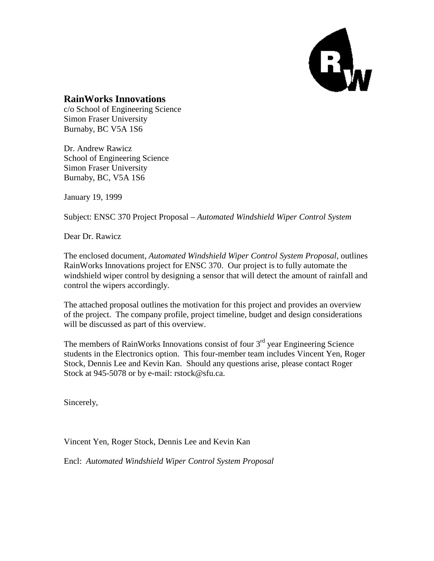

#### **RainWorks Innovations**

c/o School of Engineering Science Simon Fraser University Burnaby, BC V5A 1S6

Dr. Andrew Rawicz School of Engineering Science Simon Fraser University Burnaby, BC, V5A 1S6

January 19, 1999

Subject: ENSC 370 Project Proposal – *Automated Windshield Wiper Control System*

Dear Dr. Rawicz

The enclosed document, *Automated Windshield Wiper Control System Proposal*, outlines RainWorks Innovations project for ENSC 370. Our project is to fully automate the windshield wiper control by designing a sensor that will detect the amount of rainfall and control the wipers accordingly.

The attached proposal outlines the motivation for this project and provides an overview of the project. The company profile, project timeline, budget and design considerations will be discussed as part of this overview.

The members of RainWorks Innovations consist of four  $3<sup>rd</sup>$  year Engineering Science students in the Electronics option. This four-member team includes Vincent Yen, Roger Stock, Dennis Lee and Kevin Kan. Should any questions arise, please contact Roger Stock at 945-5078 or by e-mail: rstock@sfu.ca.

Sincerely,

Vincent Yen, Roger Stock, Dennis Lee and Kevin Kan

Encl: *Automated Windshield Wiper Control System Proposal*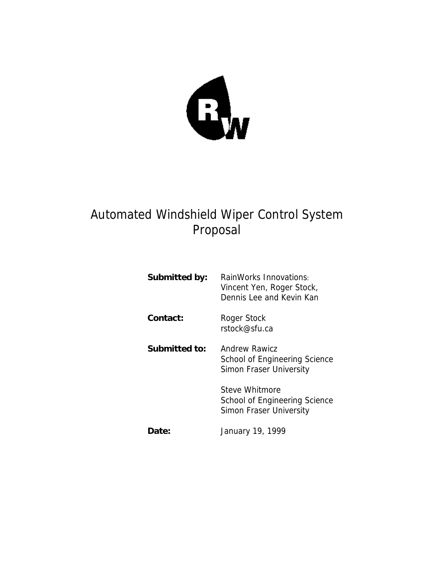

# Automated Windshield Wiper Control System Proposal

| Submitted by: | RainWorks Innovations:<br>Vincent Yen, Roger Stock,<br>Dennis Lee and Kevin Kan  |
|---------------|----------------------------------------------------------------------------------|
| Contact:      | Roger Stock<br>rstock@sfu.ca                                                     |
| Submitted to: | <b>Andrew Rawicz</b><br>School of Engineering Science<br>Simon Fraser University |
|               | Steve Whitmore<br>School of Engineering Science<br>Simon Fraser University       |
| Date:         | January 19, 1999                                                                 |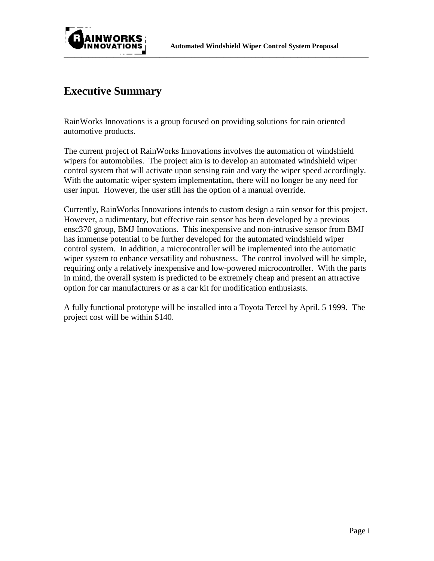



## **Executive Summary**

RainWorks Innovations is a group focused on providing solutions for rain oriented automotive products.

The current project of RainWorks Innovations involves the automation of windshield wipers for automobiles. The project aim is to develop an automated windshield wiper control system that will activate upon sensing rain and vary the wiper speed accordingly. With the automatic wiper system implementation, there will no longer be any need for user input. However, the user still has the option of a manual override.

Currently, RainWorks Innovations intends to custom design a rain sensor for this project. However, a rudimentary, but effective rain sensor has been developed by a previous ensc370 group, BMJ Innovations. This inexpensive and non-intrusive sensor from BMJ has immense potential to be further developed for the automated windshield wiper control system. In addition, a microcontroller will be implemented into the automatic wiper system to enhance versatility and robustness. The control involved will be simple, requiring only a relatively inexpensive and low-powered microcontroller. With the parts in mind, the overall system is predicted to be extremely cheap and present an attractive option for car manufacturers or as a car kit for modification enthusiasts.

A fully functional prototype will be installed into a Toyota Tercel by April. 5 1999. The project cost will be within \$140.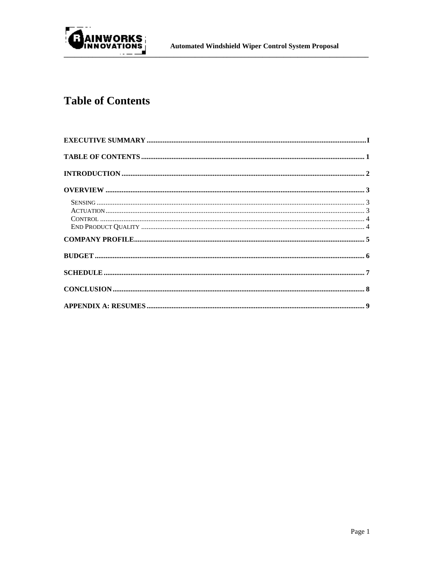

# **Table of Contents**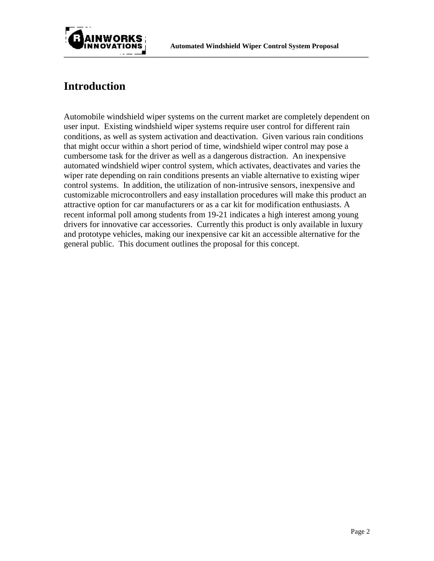

## **Introduction**

Automobile windshield wiper systems on the current market are completely dependent on user input. Existing windshield wiper systems require user control for different rain conditions, as well as system activation and deactivation. Given various rain conditions that might occur within a short period of time, windshield wiper control may pose a cumbersome task for the driver as well as a dangerous distraction. An inexpensive automated windshield wiper control system, which activates, deactivates and varies the wiper rate depending on rain conditions presents an viable alternative to existing wiper control systems. In addition, the utilization of non-intrusive sensors, inexpensive and customizable microcontrollers and easy installation procedures will make this product an attractive option for car manufacturers or as a car kit for modification enthusiasts. A recent informal poll among students from 19-21 indicates a high interest among young drivers for innovative car accessories. Currently this product is only available in luxury and prototype vehicles, making our inexpensive car kit an accessible alternative for the general public. This document outlines the proposal for this concept.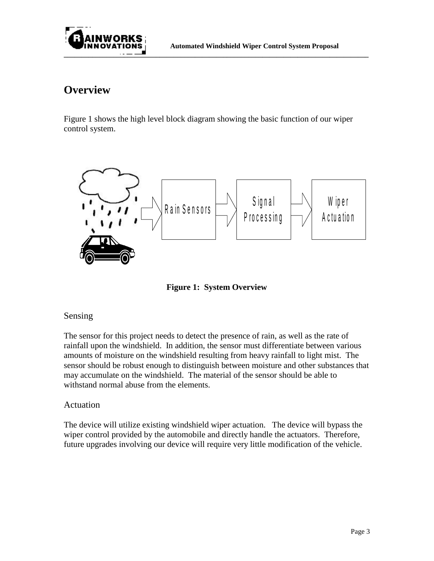

### **Overview**

Figure 1 shows the high level block diagram showing the basic function of our wiper control system.



**Figure 1: System Overview**

#### Sensing

The sensor for this project needs to detect the presence of rain, as well as the rate of rainfall upon the windshield. In addition, the sensor must differentiate between various amounts of moisture on the windshield resulting from heavy rainfall to light mist. The sensor should be robust enough to distinguish between moisture and other substances that may accumulate on the windshield. The material of the sensor should be able to withstand normal abuse from the elements.

#### Actuation

The device will utilize existing windshield wiper actuation. The device will bypass the wiper control provided by the automobile and directly handle the actuators. Therefore, future upgrades involving our device will require very little modification of the vehicle.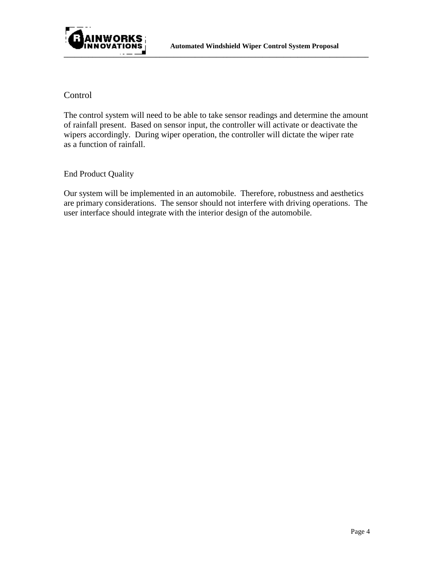

#### Control

The control system will need to be able to take sensor readings and determine the amount of rainfall present. Based on sensor input, the controller will activate or deactivate the wipers accordingly. During wiper operation, the controller will dictate the wiper rate as a function of rainfall.

#### End Product Quality

Our system will be implemented in an automobile. Therefore, robustness and aesthetics are primary considerations. The sensor should not interfere with driving operations. The user interface should integrate with the interior design of the automobile.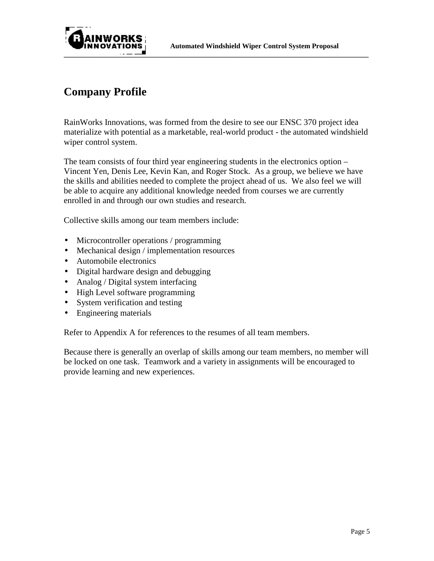

## **Company Profile**

RainWorks Innovations, was formed from the desire to see our ENSC 370 project idea materialize with potential as a marketable, real-world product - the automated windshield wiper control system.

The team consists of four third year engineering students in the electronics option – Vincent Yen, Denis Lee, Kevin Kan, and Roger Stock. As a group, we believe we have the skills and abilities needed to complete the project ahead of us. We also feel we will be able to acquire any additional knowledge needed from courses we are currently enrolled in and through our own studies and research.

Collective skills among our team members include:

- Microcontroller operations / programming
- Mechanical design / implementation resources
- Automobile electronics
- Digital hardware design and debugging
- Analog / Digital system interfacing
- High Level software programming
- System verification and testing
- Engineering materials

Refer to Appendix A for references to the resumes of all team members.

Because there is generally an overlap of skills among our team members, no member will be locked on one task. Teamwork and a variety in assignments will be encouraged to provide learning and new experiences.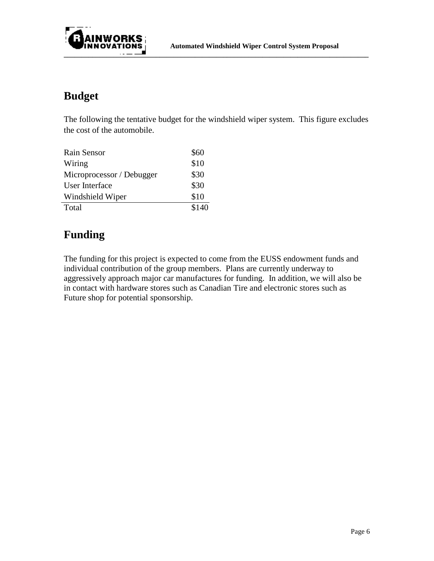

## **Budget**

The following the tentative budget for the windshield wiper system. This figure excludes the cost of the automobile.

| Rain Sensor               | \$60  |
|---------------------------|-------|
| Wiring                    | \$10  |
| Microprocessor / Debugger | \$30  |
| User Interface            | \$30  |
| Windshield Wiper          | \$10  |
| Total                     | \$140 |

## **Funding**

The funding for this project is expected to come from the EUSS endowment funds and individual contribution of the group members. Plans are currently underway to aggressively approach major car manufactures for funding. In addition, we will also be in contact with hardware stores such as Canadian Tire and electronic stores such as Future shop for potential sponsorship.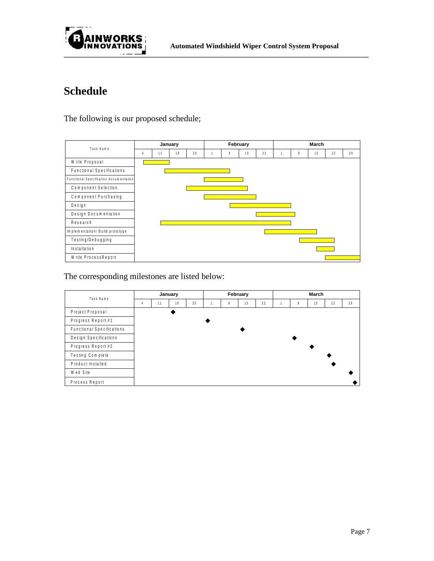

# **Schedule**

The following is our proposed schedule;

| <b>Task Name</b>                       | January |    |    |    | February |   |    |    | March |   |    |    |    |  |
|----------------------------------------|---------|----|----|----|----------|---|----|----|-------|---|----|----|----|--|
|                                        | 4       | 11 | 18 | 25 |          | 8 | 15 | 22 |       | 8 | 15 | 22 | 29 |  |
| Write Proposal                         |         |    |    |    |          |   |    |    |       |   |    |    |    |  |
| <b>Functional Specifications</b>       |         |    |    |    |          |   |    |    |       |   |    |    |    |  |
| Functional Specification documentation |         |    |    |    |          |   |    |    |       |   |    |    |    |  |
| <b>Component Selection</b>             |         |    |    |    |          |   |    |    |       |   |    |    |    |  |
| <b>Component Purchasing</b>            |         |    |    |    |          |   |    |    |       |   |    |    |    |  |
| Design                                 |         |    |    |    |          |   |    |    |       |   |    |    |    |  |
| <b>Design Documentation</b>            |         |    |    |    |          |   |    |    |       |   |    |    |    |  |
| Research                               |         |    |    |    |          |   |    |    |       |   |    |    |    |  |
| Implementation/ Build prototype        |         |    |    |    |          |   |    |    |       |   |    |    |    |  |
| Testing/Debugging                      |         |    |    |    |          |   |    |    |       |   |    |    |    |  |
| Installation                           |         |    |    |    |          |   |    |    |       |   |    |    |    |  |
| Write ProcessReport                    |         |    |    |    |          |   |    |    |       |   |    |    |    |  |

The corresponding milestones are listed below:

| Task Name                        | January        |    |    |    | February |   |    |    | March |   |    |    |    |
|----------------------------------|----------------|----|----|----|----------|---|----|----|-------|---|----|----|----|
|                                  | $\overline{4}$ | 11 | 18 | 25 |          | 8 | 15 | 22 |       | 8 | 15 | 22 | 29 |
| Project Proposal                 |                |    |    |    |          |   |    |    |       |   |    |    |    |
| Progress Report #1               |                |    |    |    |          |   |    |    |       |   |    |    |    |
| <b>Functional Specifications</b> |                |    |    |    |          |   |    |    |       |   |    |    |    |
| <b>Design Specifications</b>     |                |    |    |    |          |   |    |    |       |   |    |    |    |
| Progress Report #2               |                |    |    |    |          |   |    |    |       |   |    |    |    |
| <b>Testing Complete</b>          |                |    |    |    |          |   |    |    |       |   |    |    |    |
| <b>Product Installed</b>         |                |    |    |    |          |   |    |    |       |   |    |    |    |
| Web Site                         |                |    |    |    |          |   |    |    |       |   |    |    |    |
| Process Report                   |                |    |    |    |          |   |    |    |       |   |    |    |    |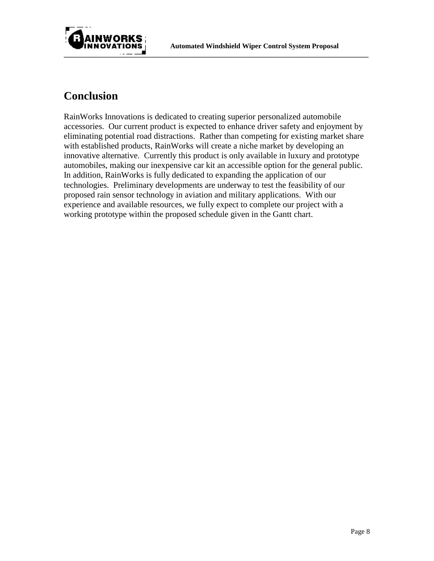



### **Conclusion**

RainWorks Innovations is dedicated to creating superior personalized automobile accessories. Our current product is expected to enhance driver safety and enjoyment by eliminating potential road distractions. Rather than competing for existing market share with established products, RainWorks will create a niche market by developing an innovative alternative. Currently this product is only available in luxury and prototype automobiles, making our inexpensive car kit an accessible option for the general public. In addition, RainWorks is fully dedicated to expanding the application of our technologies. Preliminary developments are underway to test the feasibility of our proposed rain sensor technology in aviation and military applications. With our experience and available resources, we fully expect to complete our project with a working prototype within the proposed schedule given in the Gantt chart.